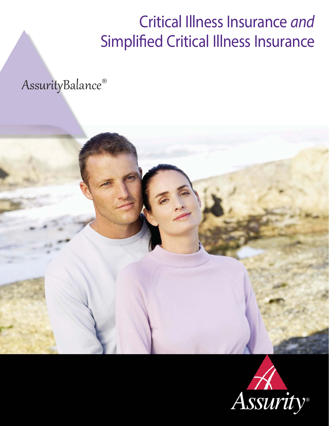# Critical Illness Insurance and Simplified Critical Illness Insurance

AssurityBalance®



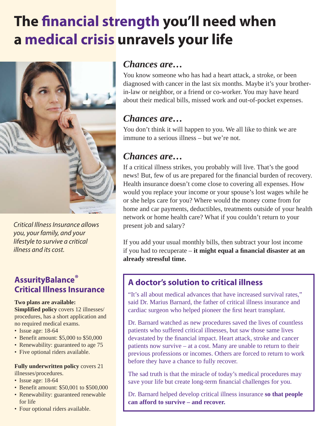# **The financial strength you'll need when a medical crisis unravels your life**



Critical Illness Insurance allows you, your family, and your lifestyle to survive a critical illness and its cost.

### **AssurityBalance® Critical Illness Insurance**

#### **Two plans are available:**

**Simplified policy** covers 12 illnesses/ procedures, has a short application and no required medical exams.

- Issue age: 18-64
- Benefit amount: \$5,000 to \$50,000
- Renewability: guaranteed to age 75
- Five optional riders available.

#### **Fully underwritten policy** covers 21 illnesses/procedures.

• Issue age: 18-64

- Benefit amount: \$50,001 to \$500,000
- Renewability: guaranteed renewable for life
- Four optional riders available.

### *Chances are…*

You know someone who has had a heart attack, a stroke, or been diagnosed with cancer in the last six months. Maybe it's your brotherin-law or neighbor, or a friend or co-worker. You may have heard about their medical bills, missed work and out-of-pocket expenses.

## *Chances are…*

You don't think it will happen to you. We all like to think we are immune to a serious illness – but we're not.

## *Chances are…*

If a critical illness strikes, you probably will live. That's the good news! But, few of us are prepared for the financial burden of recovery. Health insurance doesn't come close to covering all expenses. How would you replace your income or your spouse's lost wages while he or she helps care for you? Where would the money come from for home and car payments, deductibles, treatments outside of your health network or home health care? What if you couldn't return to your present job and salary?

If you add your usual monthly bills, then subtract your lost income if you had to recuperate – it might equal a financial disaster at an **already stressful time.** 

## **A doctor's solution to critical illness**

"It's all about medical advances that have increased survival rates," said Dr. Marius Barnard, the father of critical illness insurance and cardiac surgeon who helped pioneer the first heart transplant.

Dr. Barnard watched as new procedures saved the lives of countless patients who suffered critical illnesses, but saw those same lives devastated by the financial impact. Heart attack, stroke and cancer patients now survive – at a cost. Many are unable to return to their previous professions or incomes. Others are forced to return to work before they have a chance to fully recover.

The sad truth is that the miracle of today's medical procedures may save your life but create long-term financial challenges for you.

Dr. Barnard helped develop critical illness insurance **so that people can afford to survive – and recover.**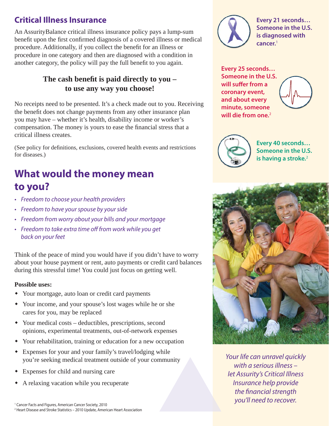## **Critical Illness Insurance**

An AssurityBalance critical illness insurance policy pays a lump-sum benefit upon the first confirmed diagnosis of a covered illness or medical procedure. Additionally, if you collect the benefit for an illness or procedure in one category and then are diagnosed with a condition in another category, the policy will pay the full benefit to you again.

#### The cash benefit is paid directly to you – **to use any way you choose!**

No receipts need to be presented. It's a check made out to you. Receiving the benefit does not change payments from any other insurance plan you may have – whether it's health, disability income or worker's compensation. The money is yours to ease the financial stress that a critical illness creates.

(See policy for definitions, exclusions, covered health events and restrictions for diseases.)

## **What would the money mean to you?**

- Freedom to choose your health providers
- Freedom to have your spouse by your side
- Freedom from worry about your bills and your mortgage
- Freedom to take extra time off from work while you get back on your feet

Think of the peace of mind you would have if you didn't have to worry about your house payment or rent, auto payments or credit card balances during this stressful time! You could just focus on getting well.

#### **Possible uses:**

- Your mortgage, auto loan or credit card payments
- Your income, and your spouse's lost wages while he or she cares for you, may be replaced
- Your medical costs deductibles, prescriptions, second opinions, experimental treatments, out-of-network expenses
- Your rehabilitation, training or education for a new occupation
- Expenses for your and your family's travel/lodging while you're seeking medical treatment outside of your community
- Expenses for child and nursing care
- A relaxing vacation while you recuperate

1 Cancer Facts and Figures, American Cancer Society, 2010 2 Heart Disease and Stroke Statistics – 2010 Update, American Heart Association



**Every 21 seconds… Someone in the U.S. is diagnosed with cancer.**<sup>1</sup>

**Every 25 seconds… Someone in the U.S.**  will suffer from a **coronary event, and about every minute, someone will die from one.**2





**Every 40 seconds… Someone in the U.S. is having a stroke.**<sup>2</sup>



Your life can unravel quickly with a serious illness – let Assurity's Critical Illness Insurance help provide the financial strength you'll need to recover.